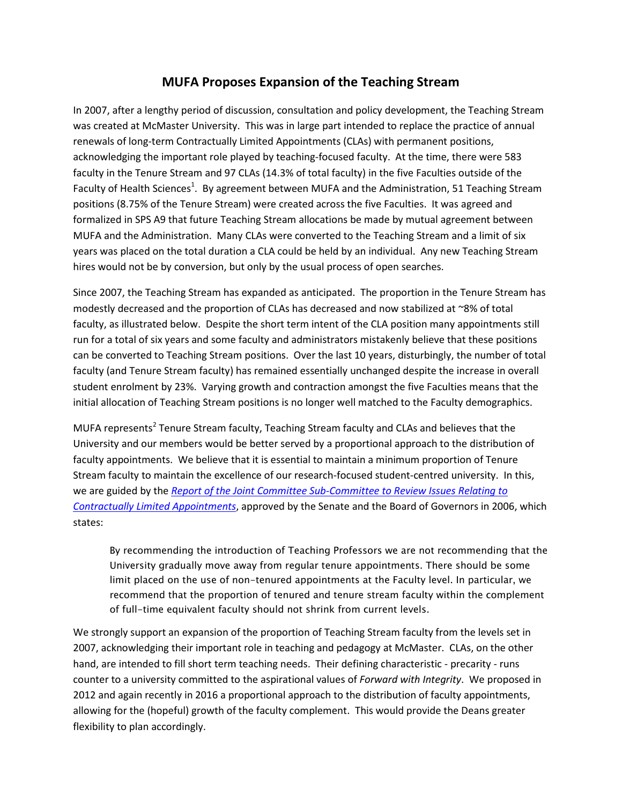## **MUFA Proposes Expansion of the Teaching Stream**

In 2007, after a lengthy period of discussion, consultation and policy development, the Teaching Stream was created at McMaster University. This was in large part intended to replace the practice of annual renewals of long-term Contractually Limited Appointments (CLAs) with permanent positions, acknowledging the important role played by teaching-focused faculty. At the time, there were 583 faculty in the Tenure Stream and 97 CLAs (14.3% of total faculty) in the five Faculties outside of the Faculty of Health Sciences<sup>1</sup>. By agreement between MUFA and the Administration, 51 Teaching Stream positions (8.75% of the Tenure Stream) were created across the five Faculties. It was agreed and formalized in SPS A9 that future Teaching Stream allocations be made by mutual agreement between MUFA and the Administration. Many CLAs were converted to the Teaching Stream and a limit of six years was placed on the total duration a CLA could be held by an individual. Any new Teaching Stream hires would not be by conversion, but only by the usual process of open searches.

Since 2007, the Teaching Stream has expanded as anticipated. The proportion in the Tenure Stream has modestly decreased and the proportion of CLAs has decreased and now stabilized at ~8% of total faculty, as illustrated below. Despite the short term intent of the CLA position many appointments still run for a total of six years and some faculty and administrators mistakenly believe that these positions can be converted to Teaching Stream positions. Over the last 10 years, disturbingly, the number of total faculty (and Tenure Stream faculty) has remained essentially unchanged despite the increase in overall student enrolment by 23%. Varying growth and contraction amongst the five Faculties means that the initial allocation of Teaching Stream positions is no longer well matched to the Faculty demographics.

MUFA represents<sup>2</sup> Tenure Stream faculty, Teaching Stream faculty and CLAs and believes that the University and our members would be better served by a proportional approach to the distribution of faculty appointments. We believe that it is essential to maintain a minimum proportion of Tenure Stream faculty to maintain the excellence of our research-focused student-centred university. In this, we are guided by the *[Report of the Joint Committee Sub-Committee to Review Issues Relating to](http://macfaculty.ca/policies/joint-committee-agreements/report-of-the-joint-committee-sub-committee-to-review-issues-relating-to-contractually-limited-appointments/)  [Contractually Limited Appointments](http://macfaculty.ca/policies/joint-committee-agreements/report-of-the-joint-committee-sub-committee-to-review-issues-relating-to-contractually-limited-appointments/)*, approved by the Senate and the Board of Governors in 2006, which states:

By recommending the introduction of Teaching Professors we are not recommending that the University gradually move away from regular tenure appointments. There should be some limit placed on the use of non-tenured appointments at the Faculty level. In particular, we recommend that the proportion of tenured and tenure stream faculty within the complement of full-time equivalent faculty should not shrink from current levels.

We strongly support an expansion of the proportion of Teaching Stream faculty from the levels set in 2007, acknowledging their important role in teaching and pedagogy at McMaster. CLAs, on the other hand, are intended to fill short term teaching needs. Their defining characteristic - precarity - runs counter to a university committed to the aspirational values of *Forward with Integrity*. We proposed in 2012 and again recently in 2016 a proportional approach to the distribution of faculty appointments, allowing for the (hopeful) growth of the faculty complement. This would provide the Deans greater flexibility to plan accordingly.